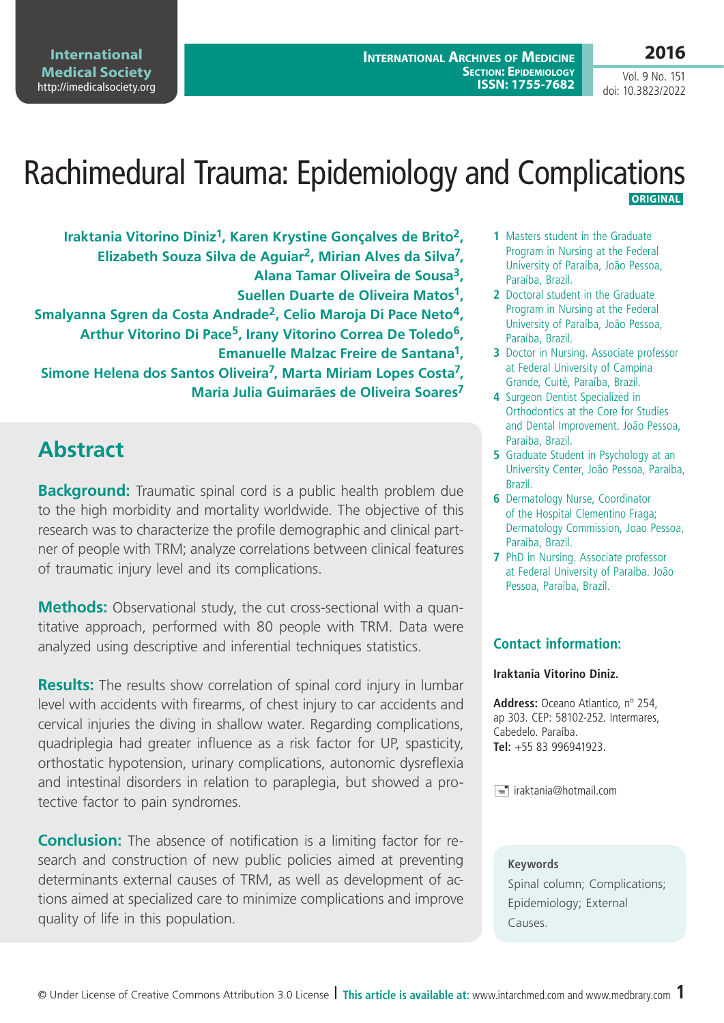**2016**

Vol. 9 No. 151 doi: 10.3823/2022

## Rachimedural Trauma: Epidemiology and Complications **ORIGINAL**

**Iraktania Vitorino Diniz1, Karen Krystine Gonçalves de Brito2, Elizabeth Souza Silva de Aguiar2, Mirian Alves da Silva7, Alana Tamar Oliveira de Sousa3, Suellen Duarte de Oliveira Matos1, Smalyanna Sgren da Costa Andrade2, Celio Maroja Di Pace Neto4, Arthur Vitorino Di Pace5, Irany Vitorino Correa De Toledo6, Emanuelle Malzac Freire de Santana1, Simone Helena dos Santos Oliveira7, Marta Miriam Lopes Costa7, Maria Julia Guimarães de Oliveira Soares7**

# **Abstract**

**Background:** Traumatic spinal cord is a public health problem due to the high morbidity and mortality worldwide. The objective of this research was to characterize the profile demographic and clinical partner of people with TRM; analyze correlations between clinical features of traumatic injury level and its complications.

**Methods:** Observational study, the cut cross-sectional with a quantitative approach, performed with 80 people with TRM. Data were analyzed using descriptive and inferential techniques statistics.

**Results:** The results show correlation of spinal cord injury in lumbar level with accidents with firearms, of chest injury to car accidents and cervical injuries the diving in shallow water. Regarding complications, quadriplegia had greater influence as a risk factor for UP, spasticity, orthostatic hypotension, urinary complications, autonomic dysreflexia and intestinal disorders in relation to paraplegia, but showed a protective factor to pain syndromes.

**Conclusion:** The absence of notification is a limiting factor for research and construction of new public policies aimed at preventing determinants external causes of TRM, as well as development of actions aimed at specialized care to minimize complications and improve quality of life in this population.

- **1** Masters student in the Graduate Program in Nursing at the Federal University of Paraíba, João Pessoa, Paraíba, Brazil.
- **2** Doctoral student in the Graduate Program in Nursing at the Federal University of Paraíba, João Pessoa, Paraíba, Brazil.
- **3** Doctor in Nursing. Associate professor at Federal University of Campina Grande, Cuité, Paraíba, Brazil.
- **4** Surgeon Dentist Specialized in Orthodontics at the Core for Studies and Dental Improvement. João Pessoa, Paraiba, Brazil.
- **5** Graduate Student in Psychology at an University Center, João Pessoa, Paraiba, Brazil.
- **6** Dermatology Nurse, Coordinator of the Hospital Clementino Fraga; Dermatology Commission, Joao Pessoa, Paraiba, Brazil.
- **7** PhD in Nursing. Associate professor at Federal University of Paraíba. João Pessoa, Paraíba, Brazil.

### **Contact information:**

#### **Iraktania Vitorino Diniz.**

**Address:** Oceano Atlantico, nº 254, ap 303. CEP: 58102-252. Intermares, Cabedelo. Paraíba. **Tel:** +55 83 996941923.

 $\equiv$  iraktania@hotmail.com

#### **Keywords**

Spinal column; Complications; Epidemiology; External Causes.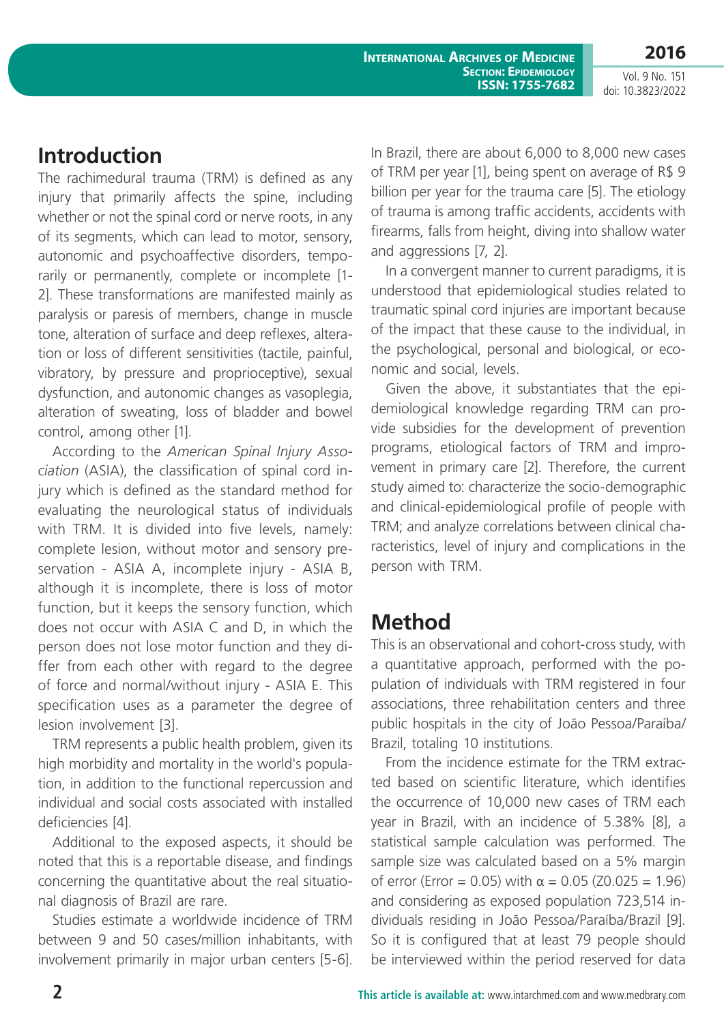**2016** Vol. 9 No. 151

doi: 10.3823/2022

## **Introduction**

The rachimedural trauma (TRM) is defined as any injury that primarily affects the spine, including whether or not the spinal cord or nerve roots, in any of its segments, which can lead to motor, sensory, autonomic and psychoaffective disorders, temporarily or permanently, complete or incomplete [1- 2]. These transformations are manifested mainly as paralysis or paresis of members, change in muscle tone, alteration of surface and deep reflexes, alteration or loss of different sensitivities (tactile, painful, vibratory, by pressure and proprioceptive), sexual dysfunction, and autonomic changes as vasoplegia, alteration of sweating, loss of bladder and bowel control, among other [1].

According to the *American Spinal Injury Association* (ASIA), the classification of spinal cord injury which is defined as the standard method for evaluating the neurological status of individuals with TRM. It is divided into five levels, namely: complete lesion, without motor and sensory preservation - ASIA A, incomplete injury - ASIA B, although it is incomplete, there is loss of motor function, but it keeps the sensory function, which does not occur with ASIA C and D, in which the person does not lose motor function and they differ from each other with regard to the degree of force and normal/without injury - ASIA E. This specification uses as a parameter the degree of lesion involvement [3].

TRM represents a public health problem, given its high morbidity and mortality in the world's population, in addition to the functional repercussion and individual and social costs associated with installed deficiencies [4].

Additional to the exposed aspects, it should be noted that this is a reportable disease, and findings concerning the quantitative about the real situational diagnosis of Brazil are rare.

Studies estimate a worldwide incidence of TRM between 9 and 50 cases/million inhabitants, with involvement primarily in major urban centers [5-6]. In Brazil, there are about 6,000 to 8,000 new cases of TRM per year [1], being spent on average of R\$ 9 billion per year for the trauma care [5]. The etiology of trauma is among traffic accidents, accidents with firearms, falls from height, diving into shallow water and aggressions [7, 2].

In a convergent manner to current paradigms, it is understood that epidemiological studies related to traumatic spinal cord injuries are important because of the impact that these cause to the individual, in the psychological, personal and biological, or economic and social, levels.

Given the above, it substantiates that the epidemiological knowledge regarding TRM can provide subsidies for the development of prevention programs, etiological factors of TRM and improvement in primary care [2]. Therefore, the current study aimed to: characterize the socio-demographic and clinical-epidemiological profile of people with TRM; and analyze correlations between clinical characteristics, level of injury and complications in the person with TRM.

# **Method**

This is an observational and cohort-cross study, with a quantitative approach, performed with the population of individuals with TRM registered in four associations, three rehabilitation centers and three public hospitals in the city of João Pessoa/Paraíba/ Brazil, totaling 10 institutions.

From the incidence estimate for the TRM extracted based on scientific literature, which identifies the occurrence of 10,000 new cases of TRM each year in Brazil, with an incidence of 5.38% [8], a statistical sample calculation was performed. The sample size was calculated based on a 5% margin of error (Error = 0.05) with α = 0.05 (Z0.025 = 1.96) and considering as exposed population 723,514 individuals residing in João Pessoa/Paraíba/Brazil [9]. So it is configured that at least 79 people should be interviewed within the period reserved for data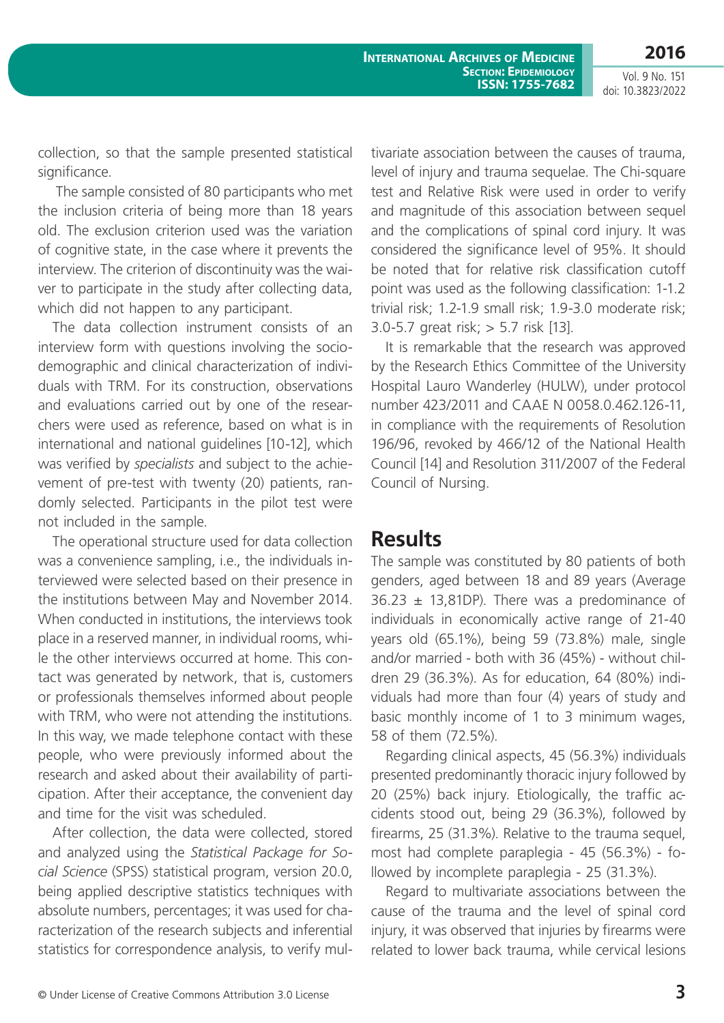collection, so that the sample presented statistical significance.

 The sample consisted of 80 participants who met the inclusion criteria of being more than 18 years old. The exclusion criterion used was the variation of cognitive state, in the case where it prevents the interview. The criterion of discontinuity was the waiver to participate in the study after collecting data, which did not happen to any participant.

The data collection instrument consists of an interview form with questions involving the sociodemographic and clinical characterization of individuals with TRM. For its construction, observations and evaluations carried out by one of the researchers were used as reference, based on what is in international and national guidelines [10-12], which was verified by *specialists* and subject to the achievement of pre-test with twenty (20) patients, randomly selected. Participants in the pilot test were not included in the sample.

The operational structure used for data collection was a convenience sampling, i.e., the individuals interviewed were selected based on their presence in the institutions between May and November 2014. When conducted in institutions, the interviews took place in a reserved manner, in individual rooms, while the other interviews occurred at home. This contact was generated by network, that is, customers or professionals themselves informed about people with TRM, who were not attending the institutions. In this way, we made telephone contact with these people, who were previously informed about the research and asked about their availability of participation. After their acceptance, the convenient day and time for the visit was scheduled.

After collection, the data were collected, stored and analyzed using the *Statistical Package for Social Science* (SPSS) statistical program, version 20.0, being applied descriptive statistics techniques with absolute numbers, percentages; it was used for characterization of the research subjects and inferential statistics for correspondence analysis, to verify mul-

tivariate association between the causes of trauma, level of injury and trauma sequelae. The Chi-square test and Relative Risk were used in order to verify and magnitude of this association between sequel and the complications of spinal cord injury. It was considered the significance level of 95%. It should be noted that for relative risk classification cutoff point was used as the following classification: 1-1.2 trivial risk; 1.2-1.9 small risk; 1.9-3.0 moderate risk; 3.0-5.7 great risk; > 5.7 risk [13].

It is remarkable that the research was approved by the Research Ethics Committee of the University Hospital Lauro Wanderley (HULW), under protocol number 423/2011 and CAAE N 0058.0.462.126-11, in compliance with the requirements of Resolution 196/96, revoked by 466/12 of the National Health Council [14] and Resolution 311/2007 of the Federal Council of Nursing.

### **Results**

The sample was constituted by 80 patients of both genders, aged between 18 and 89 years (Average  $36.23 \pm 13,81DP$ ). There was a predominance of individuals in economically active range of 21-40 years old (65.1%), being 59 (73.8%) male, single and/or married - both with 36 (45%) - without children 29 (36.3%). As for education, 64 (80%) individuals had more than four (4) years of study and basic monthly income of 1 to 3 minimum wages, 58 of them (72.5%).

Regarding clinical aspects, 45 (56.3%) individuals presented predominantly thoracic injury followed by 20 (25%) back injury. Etiologically, the traffic accidents stood out, being 29 (36.3%), followed by firearms, 25 (31.3%). Relative to the trauma sequel, most had complete paraplegia - 45 (56.3%) - followed by incomplete paraplegia - 25 (31.3%).

Regard to multivariate associations between the cause of the trauma and the level of spinal cord injury, it was observed that injuries by firearms were related to lower back trauma, while cervical lesions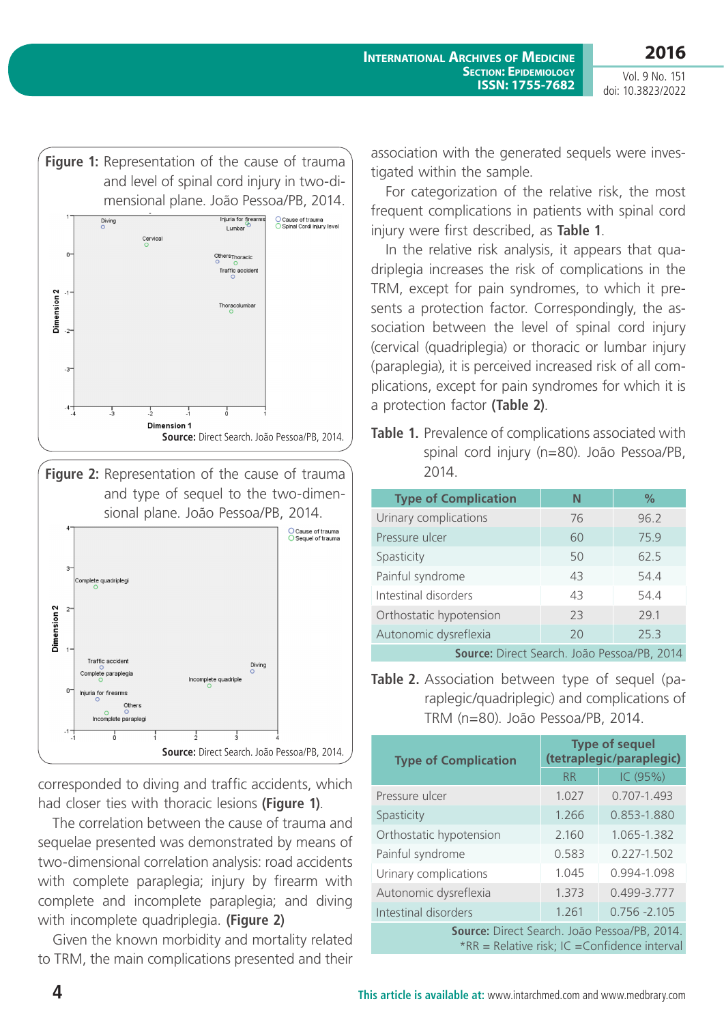**2016**



**Figure 2:** Representation of the cause of trauma and type of sequel to the two-dimensional plane. João Pessoa/PB, 2014.



corresponded to diving and traffic accidents, which had closer ties with thoracic lesions **(Figure 1)**.

The correlation between the cause of trauma and sequelae presented was demonstrated by means of two-dimensional correlation analysis: road accidents with complete paraplegia; injury by firearm with complete and incomplete paraplegia; and diving with incomplete quadriplegia. **(Figure 2)**

Given the known morbidity and mortality related to TRM, the main complications presented and their association with the generated sequels were investigated within the sample.

For categorization of the relative risk, the most frequent complications in patients with spinal cord injury were first described, as **Table 1**.

In the relative risk analysis, it appears that quadriplegia increases the risk of complications in the TRM, except for pain syndromes, to which it presents a protection factor. Correspondingly, the association between the level of spinal cord injury (cervical (quadriplegia) or thoracic or lumbar injury (paraplegia), it is perceived increased risk of all complications, except for pain syndromes for which it is a protection factor **(Table 2)**.

**Table 1.** Prevalence of complications associated with spinal cord injury (n=80). João Pessoa/PB, 2014.

| <b>Type of Complication</b>                  | N  | $\%$ |  |
|----------------------------------------------|----|------|--|
| Urinary complications                        | 76 | 96.2 |  |
| Pressure ulcer                               | 60 | 75.9 |  |
| Spasticity                                   | 50 | 62.5 |  |
| Painful syndrome                             | 43 | 54.4 |  |
| Intestinal disorders                         | 43 | 54.4 |  |
| Orthostatic hypotension                      | 23 | 29.1 |  |
| Autonomic dysreflexia                        | 20 | 25.3 |  |
| Course: Direct Conrobe Loão Dessoo (DD, 2014 |    |      |  |

**Source:** Direct Search. João Pessoa/PB, 2014

**Table 2.** Association between type of sequel (paraplegic/quadriplegic) and complications of TRM (n=80). João Pessoa/PB, 2014.

| <b>Type of Complication</b>                                                                   | <b>Type of sequel</b><br>(tetraplegic/paraplegic) |                 |  |
|-----------------------------------------------------------------------------------------------|---------------------------------------------------|-----------------|--|
|                                                                                               | <b>RR</b>                                         | IC (95%)        |  |
| Pressure ulcer                                                                                | 1.027                                             | 0.707-1.493     |  |
| Spasticity                                                                                    | 1.266                                             | 0.853-1.880     |  |
| Orthostatic hypotension                                                                       | 2.160                                             | 1.065-1.382     |  |
| Painful syndrome                                                                              | 0.583                                             | $0.227 - 1.502$ |  |
| Urinary complications                                                                         | 1.045                                             | 0.994-1.098     |  |
| Autonomic dysreflexia                                                                         | 1.373                                             | 0.499-3.777     |  |
| Intestinal disorders                                                                          | 1.261                                             | $0.756 - 2.105$ |  |
| Source: Direct Search. João Pessoa/PB, 2014.<br>*RR = Relative risk; IC = Confidence interval |                                                   |                 |  |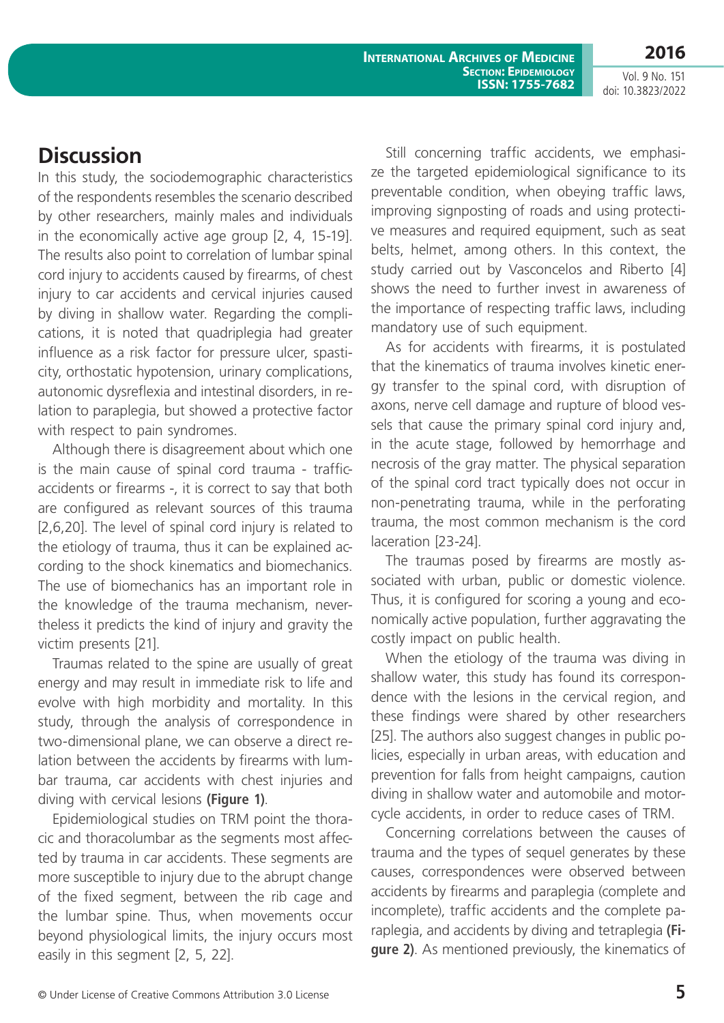**2016** Vol. 9 No. 151 doi: 10.3823/2022

# **Discussion**

In this study, the sociodemographic characteristics of the respondents resembles the scenario described by other researchers, mainly males and individuals in the economically active age group [2, 4, 15-19]. The results also point to correlation of lumbar spinal cord injury to accidents caused by firearms, of chest injury to car accidents and cervical injuries caused by diving in shallow water. Regarding the complications, it is noted that quadriplegia had greater influence as a risk factor for pressure ulcer, spasticity, orthostatic hypotension, urinary complications, autonomic dysreflexia and intestinal disorders, in relation to paraplegia, but showed a protective factor with respect to pain syndromes.

Although there is disagreement about which one is the main cause of spinal cord trauma - trafficaccidents or firearms -, it is correct to say that both are configured as relevant sources of this trauma [2,6,20]. The level of spinal cord injury is related to the etiology of trauma, thus it can be explained according to the shock kinematics and biomechanics. The use of biomechanics has an important role in the knowledge of the trauma mechanism, nevertheless it predicts the kind of injury and gravity the victim presents [21].

Traumas related to the spine are usually of great energy and may result in immediate risk to life and evolve with high morbidity and mortality. In this study, through the analysis of correspondence in two-dimensional plane, we can observe a direct relation between the accidents by firearms with lumbar trauma, car accidents with chest injuries and diving with cervical lesions **(Figure 1)**.

Epidemiological studies on TRM point the thoracic and thoracolumbar as the segments most affected by trauma in car accidents. These segments are more susceptible to injury due to the abrupt change of the fixed segment, between the rib cage and the lumbar spine. Thus, when movements occur beyond physiological limits, the injury occurs most easily in this segment [2, 5, 22].

Still concerning traffic accidents, we emphasize the targeted epidemiological significance to its preventable condition, when obeying traffic laws, improving signposting of roads and using protective measures and required equipment, such as seat belts, helmet, among others. In this context, the study carried out by Vasconcelos and Riberto [4] shows the need to further invest in awareness of the importance of respecting traffic laws, including mandatory use of such equipment.

As for accidents with firearms, it is postulated that the kinematics of trauma involves kinetic energy transfer to the spinal cord, with disruption of axons, nerve cell damage and rupture of blood vessels that cause the primary spinal cord injury and, in the acute stage, followed by hemorrhage and necrosis of the gray matter. The physical separation of the spinal cord tract typically does not occur in non-penetrating trauma, while in the perforating trauma, the most common mechanism is the cord laceration [23-24].

The traumas posed by firearms are mostly associated with urban, public or domestic violence. Thus, it is configured for scoring a young and economically active population, further aggravating the costly impact on public health.

When the etiology of the trauma was diving in shallow water, this study has found its correspondence with the lesions in the cervical region, and these findings were shared by other researchers [25]. The authors also suggest changes in public policies, especially in urban areas, with education and prevention for falls from height campaigns, caution diving in shallow water and automobile and motorcycle accidents, in order to reduce cases of TRM.

Concerning correlations between the causes of trauma and the types of sequel generates by these causes, correspondences were observed between accidents by firearms and paraplegia (complete and incomplete), traffic accidents and the complete paraplegia, and accidents by diving and tetraplegia **(Figure 2)**. As mentioned previously, the kinematics of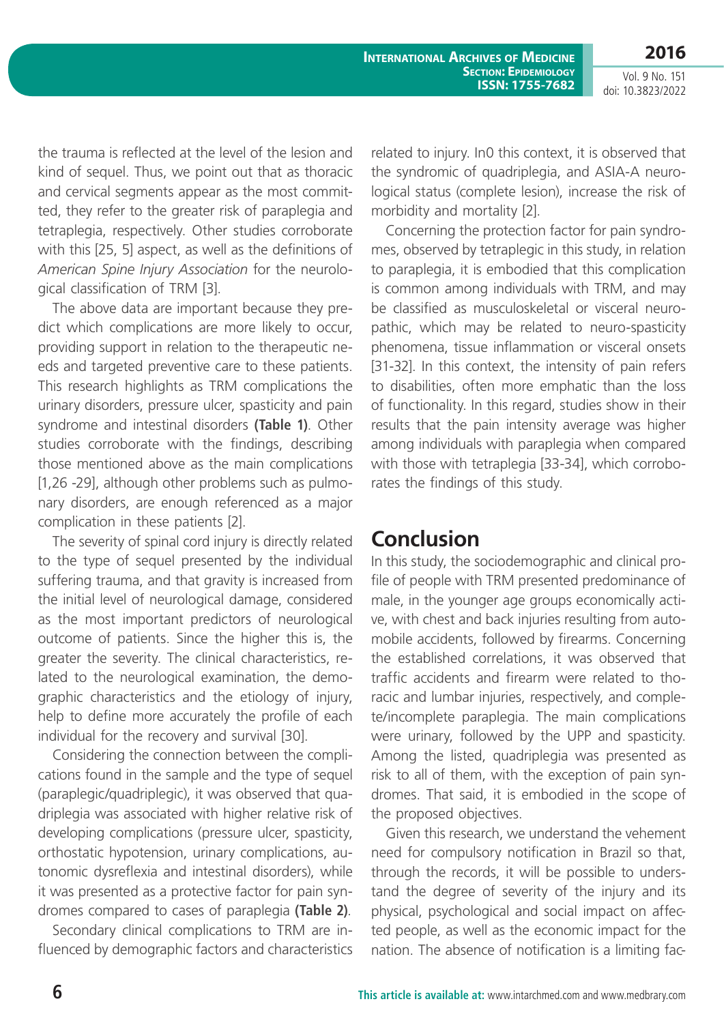Vol. 9 No. 151 doi: 10.3823/2022

**2016**

the trauma is reflected at the level of the lesion and kind of sequel. Thus, we point out that as thoracic and cervical segments appear as the most committed, they refer to the greater risk of paraplegia and tetraplegia, respectively. Other studies corroborate with this [25, 5] aspect, as well as the definitions of *American Spine Injury Association* for the neurological classification of TRM [3].

The above data are important because they predict which complications are more likely to occur, providing support in relation to the therapeutic needs and targeted preventive care to these patients. This research highlights as TRM complications the urinary disorders, pressure ulcer, spasticity and pain syndrome and intestinal disorders **(Table 1)**. Other studies corroborate with the findings, describing those mentioned above as the main complications [1,26 -29], although other problems such as pulmonary disorders, are enough referenced as a major complication in these patients [2].

The severity of spinal cord injury is directly related to the type of sequel presented by the individual suffering trauma, and that gravity is increased from the initial level of neurological damage, considered as the most important predictors of neurological outcome of patients. Since the higher this is, the greater the severity. The clinical characteristics, related to the neurological examination, the demographic characteristics and the etiology of injury, help to define more accurately the profile of each individual for the recovery and survival [30].

Considering the connection between the complications found in the sample and the type of sequel (paraplegic/quadriplegic), it was observed that quadriplegia was associated with higher relative risk of developing complications (pressure ulcer, spasticity, orthostatic hypotension, urinary complications, autonomic dysreflexia and intestinal disorders), while it was presented as a protective factor for pain syndromes compared to cases of paraplegia **(Table 2)**.

Secondary clinical complications to TRM are influenced by demographic factors and characteristics related to injury. In0 this context, it is observed that the syndromic of quadriplegia, and ASIA-A neurological status (complete lesion), increase the risk of morbidity and mortality [2].

Concerning the protection factor for pain syndromes, observed by tetraplegic in this study, in relation to paraplegia, it is embodied that this complication is common among individuals with TRM, and may be classified as musculoskeletal or visceral neuropathic, which may be related to neuro-spasticity phenomena, tissue inflammation or visceral onsets [31-32]. In this context, the intensity of pain refers to disabilities, often more emphatic than the loss of functionality. In this regard, studies show in their results that the pain intensity average was higher among individuals with paraplegia when compared with those with tetraplegia [33-34], which corroborates the findings of this study.

### **Conclusion**

In this study, the sociodemographic and clinical profile of people with TRM presented predominance of male, in the younger age groups economically active, with chest and back injuries resulting from automobile accidents, followed by firearms. Concerning the established correlations, it was observed that traffic accidents and firearm were related to thoracic and lumbar injuries, respectively, and complete/incomplete paraplegia. The main complications were urinary, followed by the UPP and spasticity. Among the listed, quadriplegia was presented as risk to all of them, with the exception of pain syndromes. That said, it is embodied in the scope of the proposed objectives.

Given this research, we understand the vehement need for compulsory notification in Brazil so that, through the records, it will be possible to understand the degree of severity of the injury and its physical, psychological and social impact on affected people, as well as the economic impact for the nation. The absence of notification is a limiting fac-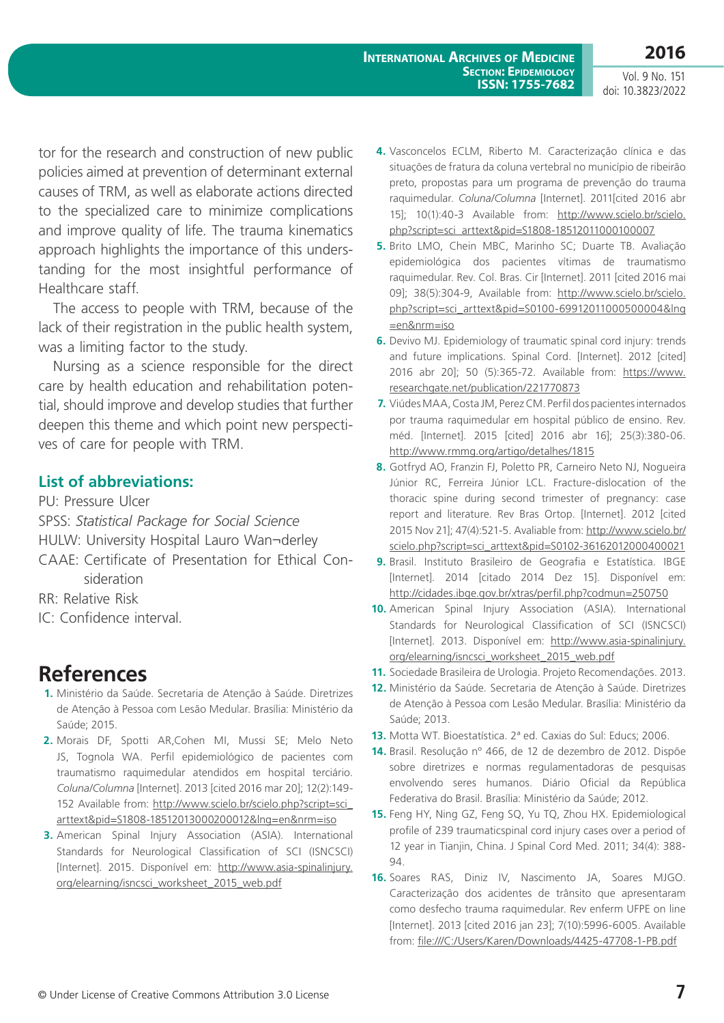tor for the research and construction of new public policies aimed at prevention of determinant external causes of TRM, as well as elaborate actions directed to the specialized care to minimize complications and improve quality of life. The trauma kinematics approach highlights the importance of this understanding for the most insightful performance of Healthcare staff.

The access to people with TRM, because of the lack of their registration in the public health system, was a limiting factor to the study.

Nursing as a science responsible for the direct care by health education and rehabilitation potential, should improve and develop studies that further deepen this theme and which point new perspectives of care for people with TRM.

### **List of abbreviations:**

PU: Pressure Ulcer SPSS: *Statistical Package for Social Science* HULW: University Hospital Lauro Wan¬derley CAAE: Certificate of Presentation for Ethical Con-

sideration

RR: Relative Risk

IC: Confidence interval.

# **References**

- **1.** Ministério da Saúde. Secretaria de Atenção à Saúde. Diretrizes de Atenção à Pessoa com Lesão Medular. Brasília: Ministério da Saúde; 2015.
- **2.** Morais DF, Spotti AR,Cohen MI, Mussi SE; Melo Neto JS, Tognola WA. Perfil epidemiológico de pacientes com traumatismo raquimedular atendidos em hospital terciário. *Coluna/Columna* [Internet]. 2013 [cited 2016 mar 20]; 12(2):149- 152 Available from: [http://www.scielo.br/scielo.php?script=sci\\_](http://www.scielo.br/scielo.php?script=sci_arttext&pid=S1808-18512013000200012&lng=en&nrm=iso) [arttext&pid=S1808-18512013000200012&lng=en&nrm=iso](http://www.scielo.br/scielo.php?script=sci_arttext&pid=S1808-18512013000200012&lng=en&nrm=iso)
- **3.** American Spinal Injury Association (ASIA). International Standards for Neurological Classification of SCI (ISNCSCI) [Internet]. 2015. Disponível em: [http://www.asia-spinalinjury.](http://www.asia-spinalinjury.org/elearning/isncsci_worksheet_2015_web.pdf) [org/elearning/isncsci\\_worksheet\\_2015\\_web.pdf](http://www.asia-spinalinjury.org/elearning/isncsci_worksheet_2015_web.pdf)
- **4.** Vasconcelos ECLM, Riberto M. Caracterização clínica e das situações de fratura da coluna vertebral no município de ribeirão preto, propostas para um programa de prevenção do trauma raquimedular. *Coluna/Columna* [Internet]. 2011[cited 2016 abr 15]; 10(1):40-3 Available from: [http://www.scielo.br/scielo.](http://www.scielo.br/scielo.php?script=sci_arttext&pid=S1808-18512011000100007) [php?script=sci\\_arttext&pid=S1808-18512011000100007](http://www.scielo.br/scielo.php?script=sci_arttext&pid=S1808-18512011000100007)
- **5.** Brito LMO, Chein MBC, Marinho SC; Duarte TB. Avaliação epidemiológica dos pacientes vítimas de traumatismo raquimedular. Rev. Col. Bras. Cir [Internet]. 2011 [cited 2016 mai 09]; 38(5):304-9, Available from: [http://www.scielo.br/scielo.](http://www.scielo.br/scielo.php?script=sci_arttext&pid=S0100-69912011000500004&lng=en&nrm=iso) [php?script=sci\\_arttext&pid=S0100-69912011000500004&lng](http://www.scielo.br/scielo.php?script=sci_arttext&pid=S0100-69912011000500004&lng=en&nrm=iso) [=en&nrm=iso](http://www.scielo.br/scielo.php?script=sci_arttext&pid=S0100-69912011000500004&lng=en&nrm=iso)
- **6.** Devivo MJ. Epidemiology of traumatic spinal cord injury: trends and future implications. Spinal Cord. [Internet]. 2012 [cited] 2016 abr 20]; 50 (5):365-72. Available from: [https://www.](https://www.researchgate.net/publication/221770873) [researchgate.net/publication/221770873](https://www.researchgate.net/publication/221770873)
- **7.** Viúdes MAA, Costa JM, Perez CM. Perfil dos pacientes internados por trauma raquimedular em hospital público de ensino. Rev. méd. [Internet]. 2015 [cited] 2016 abr 16]; 25(3):380-06. <http://www.rmmg.org/artigo/detalhes/1815>
- **8.** Gotfryd AO, Franzin FJ, Poletto PR, Carneiro Neto NJ, Nogueira Júnior RC, Ferreira Júnior LCL. Fracture-dislocation of the thoracic spine during second trimester of pregnancy: case report and literature. Rev Bras Ortop. [Internet]. 2012 [cited 2015 Nov 21]; 47(4):521-5. Avaliable from: [http://www.scielo.br/](http://www.scielo.br/scielo.php?script=sci_arttext&pid=S0102-36162012000400021) [scielo.php?script=sci\\_arttext&pid=S0102-36162012000400021](http://www.scielo.br/scielo.php?script=sci_arttext&pid=S0102-36162012000400021)
- **9.** Brasil. Instituto Brasileiro de Geografia e Estatística. IBGE [Internet]. 2014 [citado 2014 Dez 15]. Disponível em: <http://cidades.ibge.gov.br/xtras/perfil.php?codmun=250750>
- **10.** American Spinal Injury Association (ASIA). International Standards for Neurological Classification of SCI (ISNCSCI) [Internet]. 2013. Disponível em: [http://www.asia-spinalinjury.](http://www.asia-spinalinjury.org/elearning/isncsci_worksheet_2015_web.pdf) [org/elearning/isncsci\\_worksheet\\_2015\\_web.pdf](http://www.asia-spinalinjury.org/elearning/isncsci_worksheet_2015_web.pdf)
- **11.** Sociedade Brasileira de Urologia. Projeto Recomendações. 2013.
- **12.** Ministério da Saúde. Secretaria de Atenção à Saúde. Diretrizes de Atenção à Pessoa com Lesão Medular. Brasília: Ministério da Saúde; 2013.
- **13.** Motta WT. Bioestatística. 2ª ed. Caxias do Sul: Educs; 2006.
- **14.** Brasil. Resolução nº 466, de 12 de dezembro de 2012. Dispõe sobre diretrizes e normas regulamentadoras de pesquisas envolvendo seres humanos. Diário Oficial da República Federativa do Brasil. Brasília: Ministério da Saúde; 2012.
- **15.** Feng HY, Ning GZ, Feng SQ, Yu TQ, Zhou HX. Epidemiological profile of 239 traumaticspinal cord injury cases over a period of 12 year in Tianjin, China. J Spinal Cord Med. 2011; 34(4): 388-  $94.$
- **16.** Soares RAS, Diniz IV, Nascimento JA, Soares MJGO. Caracterização dos acidentes de trânsito que apresentaram como desfecho trauma raquimedular. Rev enferm UFPE on line [Internet]. 2013 [cited 2016 jan 23]; 7(10):5996-6005. Available from: <file:///C:/Users/Karen/Downloads/4425-47708-1-PB.pdf>